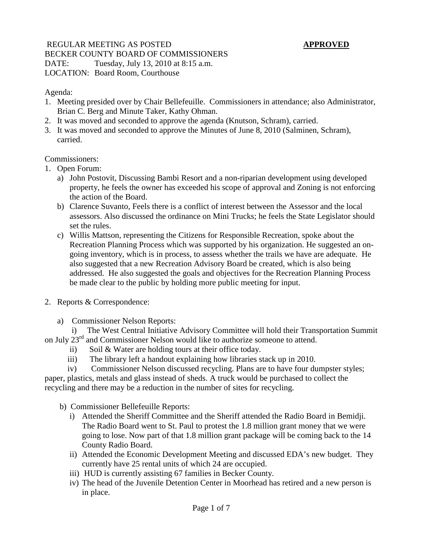# REGULAR MEETING AS POSTED **APPROVED** BECKER COUNTY BOARD OF COMMISSIONERS DATE: Tuesday, July 13, 2010 at 8:15 a.m. LOCATION: Board Room, Courthouse

### Agenda:

- 1. Meeting presided over by Chair Bellefeuille. Commissioners in attendance; also Administrator, Brian C. Berg and Minute Taker, Kathy Ohman.
- 2. It was moved and seconded to approve the agenda (Knutson, Schram), carried.
- 3. It was moved and seconded to approve the Minutes of June 8, 2010 (Salminen, Schram), carried.

## Commissioners:

- 1. Open Forum:
	- a) John Postovit, Discussing Bambi Resort and a non-riparian development using developed property, he feels the owner has exceeded his scope of approval and Zoning is not enforcing the action of the Board.
	- b) Clarence Suvanto, Feels there is a conflict of interest between the Assessor and the local assessors. Also discussed the ordinance on Mini Trucks; he feels the State Legislator should set the rules.
	- c) Willis Mattson, representing the Citizens for Responsible Recreation, spoke about the Recreation Planning Process which was supported by his organization. He suggested an ongoing inventory, which is in process, to assess whether the trails we have are adequate. He also suggested that a new Recreation Advisory Board be created, which is also being addressed. He also suggested the goals and objectives for the Recreation Planning Process be made clear to the public by holding more public meeting for input.
- 2. Reports & Correspondence:
	- a) Commissioner Nelson Reports:

 i) The West Central Initiative Advisory Committee will hold their Transportation Summit on July 23<sup>rd</sup> and Commissioner Nelson would like to authorize someone to attend.

- ii) Soil & Water are holding tours at their office today.
- iii) The library left a handout explaining how libraries stack up in 2010.
- iv) Commissioner Nelson discussed recycling. Plans are to have four dumpster styles;

paper, plastics, metals and glass instead of sheds. A truck would be purchased to collect the recycling and there may be a reduction in the number of sites for recycling.

- b) Commissioner Bellefeuille Reports:
	- i) Attended the Sheriff Committee and the Sheriff attended the Radio Board in Bemidji. The Radio Board went to St. Paul to protest the 1.8 million grant money that we were going to lose. Now part of that 1.8 million grant package will be coming back to the 14 County Radio Board.
	- ii) Attended the Economic Development Meeting and discussed EDA's new budget. They currently have 25 rental units of which 24 are occupied.
	- iii) HUD is currently assisting 67 families in Becker County.
	- iv) The head of the Juvenile Detention Center in Moorhead has retired and a new person is in place.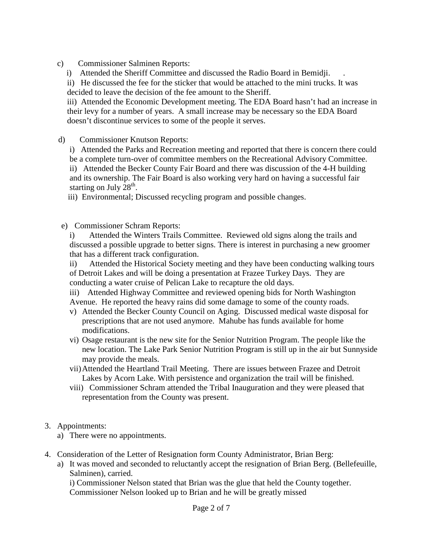c) Commissioner Salminen Reports:

i) Attended the Sheriff Committee and discussed the Radio Board in Bemidii.

ii) He discussed the fee for the sticker that would be attached to the mini trucks. It was decided to leave the decision of the fee amount to the Sheriff.

iii) Attended the Economic Development meeting. The EDA Board hasn't had an increase in their levy for a number of years. A small increase may be necessary so the EDA Board doesn't discontinue services to some of the people it serves.

d) Commissioner Knutson Reports:

i) Attended the Parks and Recreation meeting and reported that there is concern there could be a complete turn-over of committee members on the Recreational Advisory Committee. ii) Attended the Becker County Fair Board and there was discussion of the 4-H building and its ownership. The Fair Board is also working very hard on having a successful fair starting on July  $28<sup>th</sup>$ .

iii) Environmental; Discussed recycling program and possible changes.

e) Commissioner Schram Reports:

i) Attended the Winters Trails Committee. Reviewed old signs along the trails and discussed a possible upgrade to better signs. There is interest in purchasing a new groomer that has a different track configuration.

ii) Attended the Historical Society meeting and they have been conducting walking tours of Detroit Lakes and will be doing a presentation at Frazee Turkey Days. They are conducting a water cruise of Pelican Lake to recapture the old days.

iii) Attended Highway Committee and reviewed opening bids for North Washington Avenue. He reported the heavy rains did some damage to some of the county roads.

- v) Attended the Becker County Council on Aging. Discussed medical waste disposal for prescriptions that are not used anymore. Mahube has funds available for home modifications.
- vi) Osage restaurant is the new site for the Senior Nutrition Program. The people like the new location. The Lake Park Senior Nutrition Program is still up in the air but Sunnyside may provide the meals.
- vii)Attended the Heartland Trail Meeting. There are issues between Frazee and Detroit Lakes by Acorn Lake. With persistence and organization the trail will be finished.
- viii) Commissioner Schram attended the Tribal Inauguration and they were pleased that representation from the County was present.

#### 3. Appointments:

- a) There were no appointments.
- 4. Consideration of the Letter of Resignation form County Administrator, Brian Berg:
	- a) It was moved and seconded to reluctantly accept the resignation of Brian Berg. (Bellefeuille, Salminen), carried.

i) Commissioner Nelson stated that Brian was the glue that held the County together. Commissioner Nelson looked up to Brian and he will be greatly missed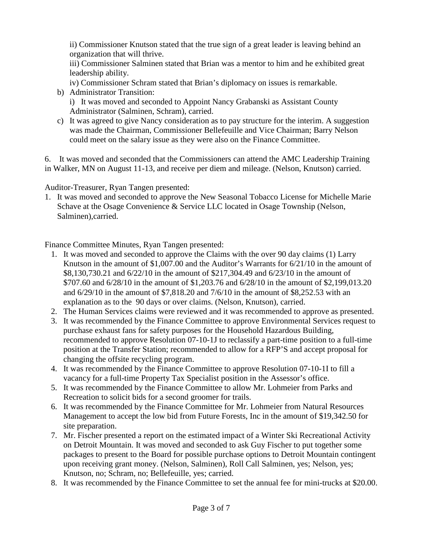ii) Commissioner Knutson stated that the true sign of a great leader is leaving behind an organization that will thrive.

iii) Commissioner Salminen stated that Brian was a mentor to him and he exhibited great leadership ability.

- iv) Commissioner Schram stated that Brian's diplomacy on issues is remarkable.
- b) Administrator Transition: i) It was moved and seconded to Appoint Nancy Grabanski as Assistant County Administrator (Salminen, Schram), carried.
- c) It was agreed to give Nancy consideration as to pay structure for the interim. A suggestion was made the Chairman, Commissioner Bellefeuille and Vice Chairman; Barry Nelson could meet on the salary issue as they were also on the Finance Committee.

6. It was moved and seconded that the Commissioners can attend the AMC Leadership Training in Walker, MN on August 11-13, and receive per diem and mileage. (Nelson, Knutson) carried.

Auditor-Treasurer, Ryan Tangen presented:

1. It was moved and seconded to approve the New Seasonal Tobacco License for Michelle Marie Schave at the Osage Convenience & Service LLC located in Osage Township (Nelson, Salminen),carried.

Finance Committee Minutes, Ryan Tangen presented:

- 1. It was moved and seconded to approve the Claims with the over 90 day claims (1) Larry Knutson in the amount of \$1,007.00 and the Auditor's Warrants for 6/21/10 in the amount of \$8,130,730.21 and 6/22/10 in the amount of \$217,304.49 and 6/23/10 in the amount of \$707.60 and 6/28/10 in the amount of \$1,203.76 and 6/28/10 in the amount of \$2,199,013.20 and 6/29/10 in the amount of \$7,818.20 and 7/6/10 in the amount of \$8,252.53 with an explanation as to the 90 days or over claims. (Nelson, Knutson), carried.
- 2. The Human Services claims were reviewed and it was recommended to approve as presented.
- 3. It was recommended by the Finance Committee to approve Environmental Services request to purchase exhaust fans for safety purposes for the Household Hazardous Building, recommended to approve Resolution 07-10-1J to reclassify a part-time position to a full-time position at the Transfer Station; recommended to allow for a RFP'S and accept proposal for changing the offsite recycling program.
- 4. It was recommended by the Finance Committee to approve Resolution 07-10-1I to fill a vacancy for a full-time Property Tax Specialist position in the Assessor's office.
- 5. It was recommended by the Finance Committee to allow Mr. Lohmeier from Parks and Recreation to solicit bids for a second groomer for trails.
- 6. It was recommended by the Finance Committee for Mr. Lohmeier from Natural Resources Management to accept the low bid from Future Forests, Inc in the amount of \$19,342.50 for site preparation.
- 7. Mr. Fischer presented a report on the estimated impact of a Winter Ski Recreational Activity on Detroit Mountain. It was moved and seconded to ask Guy Fischer to put together some packages to present to the Board for possible purchase options to Detroit Mountain contingent upon receiving grant money. (Nelson, Salminen), Roll Call Salminen, yes; Nelson, yes; Knutson, no; Schram, no; Bellefeuille, yes; carried.
- 8. It was recommended by the Finance Committee to set the annual fee for mini-trucks at \$20.00.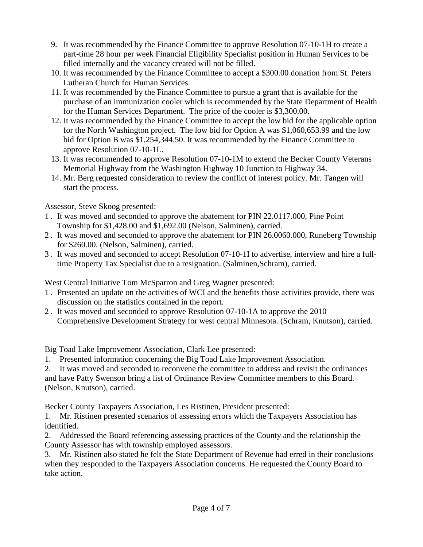- 9. It was recommended by the Finance Committee to approve Resolution 07-10-1H to create a part-time 28 hour per week Financial Eligibility Specialist position in Human Services to be filled internally and the vacancy created will not be filled.
- 10. It was recommended by the Finance Committee to accept a \$300.00 donation from St. Peters Lutheran Church for Human Services.
- 11. It was recommended by the Finance Committee to pursue a grant that is available for the purchase of an immunization cooler which is recommended by the State Department of Health for the Human Services Department. The price of the cooler is \$3,300.00.
- 12. It was recommended by the Finance Committee to accept the low bid for the applicable option for the North Washington project. The low bid for Option A was \$1,060,653.99 and the low bid for Option B was \$1,254,344.50. It was recommended by the Finance Committee to approve Resolution 07-10-1L.
- 13. It was recommended to approve Resolution 07-10-1M to extend the Becker County Veterans Memorial Highway from the Washington Highway 10 Junction to Highway 34.
- 14. Mr. Berg requested consideration to review the conflict of interest policy. Mr. Tangen will start the process.

Assessor, Steve Skoog presented:

- 1 . It was moved and seconded to approve the abatement for PIN 22.0117.000, Pine Point Township for \$1,428.00 and \$1,692.00 (Nelson, Salminen), carried.
- 2 . It was moved and seconded to approve the abatement for PIN 26.0060.000, Runeberg Township for \$260.00. (Nelson, Salminen), carried.
- 3 . It was moved and seconded to accept Resolution 07-10-1I to advertise, interview and hire a fulltime Property Tax Specialist due to a resignation. (Salminen,Schram), carried.

West Central Initiative Tom McSparron and Greg Wagner presented:

- 1 . Presented an update on the activities of WCI and the benefits those activities provide, there was discussion on the statistics contained in the report.
- 2 . It was moved and seconded to approve Resolution 07-10-1A to approve the 2010 Comprehensive Development Strategy for west central Minnesota. (Schram, Knutson), carried.

Big Toad Lake Improvement Association, Clark Lee presented:

1. Presented information concerning the Big Toad Lake Improvement Association.

2. It was moved and seconded to reconvene the committee to address and revisit the ordinances and have Patty Swenson bring a list of Ordinance Review Committee members to this Board. (Nelson, Knutson), carried.

Becker County Taxpayers Association, Les Ristinen, President presented:

1. Mr. Ristinen presented scenarios of assessing errors which the Taxpayers Association has identified.

2. Addressed the Board referencing assessing practices of the County and the relationship the County Assessor has with township employed assessors.

3. Mr. Ristinen also stated he felt the State Department of Revenue had erred in their conclusions when they responded to the Taxpayers Association concerns. He requested the County Board to take action.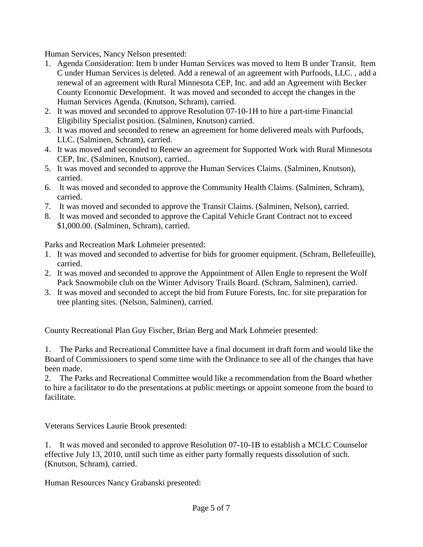Human Services, Nancy Nelson presented:

- 1. Agenda Consideration: Item b under Human Services was moved to Item B under Transit. Item C under Human Services is deleted. Add a renewal of an agreement with Purfoods, LLC. , add a renewal of an agreement with Rural Minnesota CEP, Inc. and add an Agreement with Becker County Economic Development. It was moved and seconded to accept the changes in the Human Services Agenda. (Knutson, Schram), carried.
- 2. It was moved and seconded to approve Resolution 07-10-1H to hire a part-time Financial Eligibility Specialist position. (Salminen, Knutson) carried.
- 3. It was moved and seconded to renew an agreement for home delivered meals with Purfoods, LLC. (Salminen, Schram), carried.
- 4. It was moved and seconded to Renew an agreement for Supported Work with Rural Minnesota CEP, Inc. (Salminen, Knutson), carried..
- 5. It was moved and seconded to approve the Human Services Claims. (Salminen, Knutson), carried.
- 6. It was moved and seconded to approve the Community Health Claims. (Salminen, Schram), carried.
- 7. It was moved and seconded to approve the Transit Claims. (Salminen, Nelson), carried.
- 8. It was moved and seconded to approve the Capital Vehicle Grant Contract not to exceed \$1,000.00. (Salminen, Schram), carried.

Parks and Recreation Mark Lohmeier presented:

- 1. It was moved and seconded to advertise for bids for groomer equipment. (Schram, Bellefeuille), carried.
- 2. It was moved and seconded to approve the Appointment of Allen Engle to represent the Wolf Pack Snowmobile club on the Winter Advisory Trails Board. (Schram, Salminen), carried.
- 3. It was moved and seconded to accept the bid from Future Forests, Inc. for site preparation for tree planting sites. (Nelson, Salminen), carried.

County Recreational Plan Guy Fischer, Brian Berg and Mark Lohmeier presented:

1. The Parks and Recreational Committee have a final document in draft form and would like the Board of Commissioners to spend some time with the Ordinance to see all of the changes that have been made.

2. The Parks and Recreational Committee would like a recommendation from the Board whether to hire a facilitator to do the presentations at public meetings or appoint someone from the board to facilitate.

Veterans Services Laurie Brook presented:

1. It was moved and seconded to approve Resolution 07-10-1B to establish a MCLC Counselor effective July 13, 2010, until such time as either party formally requests dissolution of such. (Knutson, Schram), carried.

Human Resources Nancy Grabanski presented: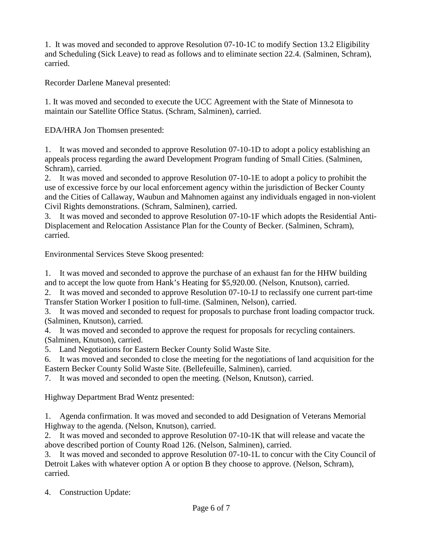1. It was moved and seconded to approve Resolution 07-10-1C to modify Section 13.2 Eligibility and Scheduling (Sick Leave) to read as follows and to eliminate section 22.4. (Salminen, Schram), carried.

Recorder Darlene Maneval presented:

1. It was moved and seconded to execute the UCC Agreement with the State of Minnesota to maintain our Satellite Office Status. (Schram, Salminen), carried.

EDA/HRA Jon Thomsen presented:

1. It was moved and seconded to approve Resolution 07-10-1D to adopt a policy establishing an appeals process regarding the award Development Program funding of Small Cities. (Salminen, Schram), carried.

2. It was moved and seconded to approve Resolution 07-10-1E to adopt a policy to prohibit the use of excessive force by our local enforcement agency within the jurisdiction of Becker County and the Cities of Callaway, Waubun and Mahnomen against any individuals engaged in non-violent Civil Rights demonstrations. (Schram, Salminen), carried.

3. It was moved and seconded to approve Resolution 07-10-1F which adopts the Residential Anti-Displacement and Relocation Assistance Plan for the County of Becker. (Salminen, Schram), carried.

Environmental Services Steve Skoog presented:

1. It was moved and seconded to approve the purchase of an exhaust fan for the HHW building and to accept the low quote from Hank's Heating for \$5,920.00. (Nelson, Knutson), carried.

2. It was moved and seconded to approve Resolution 07-10-1J to reclassify one current part-time Transfer Station Worker I position to full-time. (Salminen, Nelson), carried.

3. It was moved and seconded to request for proposals to purchase front loading compactor truck. (Salminen, Knutson), carried.

4. It was moved and seconded to approve the request for proposals for recycling containers. (Salminen, Knutson), carried.

5. Land Negotiations for Eastern Becker County Solid Waste Site.

6. It was moved and seconded to close the meeting for the negotiations of land acquisition for the Eastern Becker County Solid Waste Site. (Bellefeuille, Salminen), carried.

7. It was moved and seconded to open the meeting. (Nelson, Knutson), carried.

Highway Department Brad Wentz presented:

1. Agenda confirmation. It was moved and seconded to add Designation of Veterans Memorial Highway to the agenda. (Nelson, Knutson), carried.

2. It was moved and seconded to approve Resolution 07-10-1K that will release and vacate the above described portion of County Road 126. (Nelson, Salminen), carried.

3. It was moved and seconded to approve Resolution 07-10-1L to concur with the City Council of Detroit Lakes with whatever option A or option B they choose to approve. (Nelson, Schram), carried.

4. Construction Update: